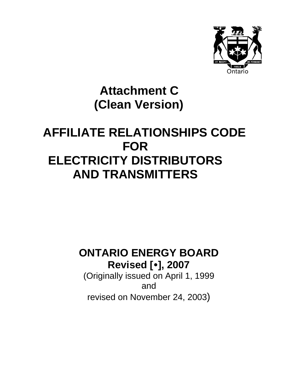

# **Attachment C (Clean Version)**

# **AFFILIATE RELATIONSHIPS CODE FOR ELECTRICITY DISTRIBUTORS AND TRANSMITTERS**

# **ONTARIO ENERGY BOARD Revised [**y**], 2007**

(Originally issued on April 1, 1999 and revised on November 24, 2003)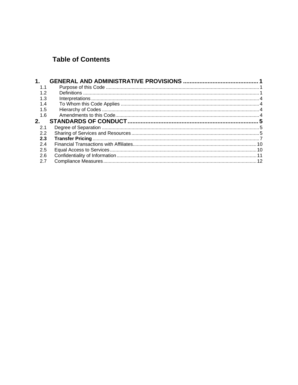# **Table of Contents**

| 1 <sub>1</sub> |  |
|----------------|--|
| 1.1            |  |
| 1.2            |  |
| 1.3            |  |
| 1.4            |  |
| 1.5            |  |
| 1.6            |  |
| 2.             |  |
| 2.1            |  |
| 2.2            |  |
| 2.3            |  |
| 2.4            |  |
| 2.5            |  |
| 2.6            |  |
| 2.7            |  |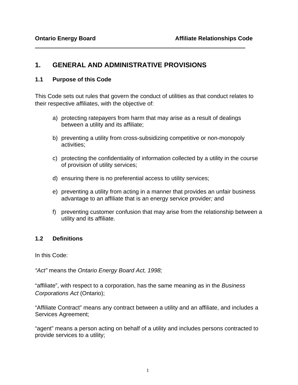# <span id="page-2-0"></span>**1. GENERAL AND ADMINISTRATIVE PROVISIONS**

#### **1.1 Purpose of this Code**

This Code sets out rules that govern the conduct of utilities as that conduct relates to their respective affiliates, with the objective of:

- a) protecting ratepayers from harm that may arise as a result of dealings between a utility and its affiliate;
- b) preventing a utility from cross-subsidizing competitive or non-monopoly activities;
- c) protecting the confidentiality of information collected by a utility in the course of provision of utility services;
- d) ensuring there is no preferential access to utility services;
- e) preventing a utility from acting in a manner that provides an unfair business advantage to an affiliate that is an energy service provider*;* and
- f) preventing customer confusion that may arise from the relationship between a utility and its affiliate.

#### **1.2 Definitions**

In this Code:

*"Act"* means the *Ontario Energy Board Act, 1998;* 

"affiliate", with respect to a corporation, has the same meaning as in the *Business Corporations Act* (Ontario);

"Affiliate Contract" means any contract between a utility and an affiliate, and includes a Services Agreement;

"agent" means a person acting on behalf of a utility and includes persons contracted to provide services to a utility;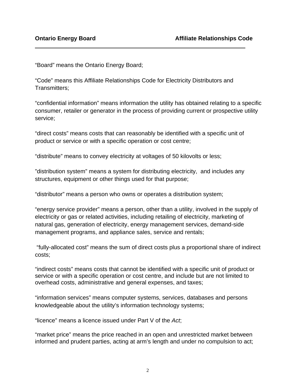"Board" means the Ontario Energy Board;

"Code" means this Affiliate Relationships Code for Electricity Distributors and Transmitters;

"confidential information" means information the utility has obtained relating to a specific consumer, retailer or generator in the process of providing current or prospective utility service;

"direct costs" means costs that can reasonably be identified with a specific unit of product or service or with a specific operation or cost centre;

"distribute" means to convey electricity at voltages of 50 kilovolts or less;

"distribution system" means a system for distributing electricity, and includes any structures, equipment or other things used for that purpose;

"distributor" means a person who owns or operates a distribution system;

"energy service provider" means a person, other than a utility, involved in the supply of electricity or gas or related activities, including retailing of electricity, marketing of natural gas, generation of electricity, energy management services, demand-side management programs, and appliance sales, service and rentals;

 "fully-allocated cost" means the sum of direct costs plus a proportional share of indirect costs;

"indirect costs" means costs that cannot be identified with a specific unit of product or service or with a specific operation or cost centre, and include but are not limited to overhead costs, administrative and general expenses, and taxes;

"information services" means computer systems, services, databases and persons knowledgeable about the utility's information technology systems;

"licence" means a licence issued under Part V of the *Act*;

"market price" means the price reached in an open and unrestricted market between informed and prudent parties, acting at arm's length and under no compulsion to act;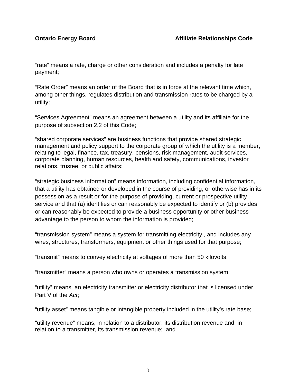"rate" means a rate, charge or other consideration and includes a penalty for late payment;

"Rate Order" means an order of the Board that is in force at the relevant time which, among other things, regulates distribution and transmission rates to be charged by a utility;

"Services Agreement" means an agreement between a utility and its affiliate for the purpose of subsection 2.2 of this Code;

"shared corporate services" are business functions that provide shared strategic management and policy support to the corporate group of which the utility is a member, relating to legal, finance, tax, treasury, pensions, risk management, audit services, corporate planning, human resources, health and safety, communications, investor relations, trustee, or public affairs;

"strategic business information" means information, including confidential information, that a utility has obtained or developed in the course of providing, or otherwise has in its possession as a result or for the purpose of providing, current or prospective utility service and that (a) identifies or can reasonably be expected to identify or (b) provides or can reasonably be expected to provide a business opportunity or other business advantage to the person to whom the information is provided;

"transmission system" means a system for transmitting electricity , and includes any wires, structures, transformers, equipment or other things used for that purpose;

"transmit" means to convey electricity at voltages of more than 50 kilovolts;

"transmitter" means a person who owns or operates a transmission system;

"utility" means an electricity transmitter or electricity distributor that is licensed under Part V of the *Act*;

"utility asset" means tangible or intangible property included in the utility's rate base;

"utility revenue" means, in relation to a distributor, its distribution revenue and, in relation to a transmitter, its transmission revenue; and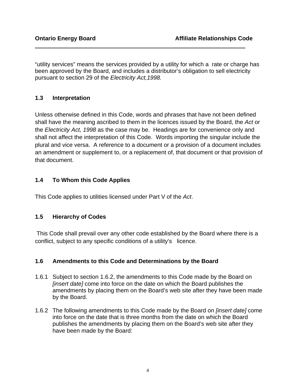<span id="page-5-0"></span>"utility services" means the services provided by a utility for which a rate or charge has been approved by the Board, and includes a distributor's obligation to sell electricity pursuant to section 29 of the *Electricity Act,1998.* 

### **1.3 Interpretation**

Unless otherwise defined in this Code, words and phrases that have not been defined shall have the meaning ascribed to them in the licences issued by the Board, the *Act* or the *Electricity Act, 1998* as the case may be. Headings are for convenience only and shall not affect the interpretation of this Code. Words importing the singular include the plural and vice versa. A reference to a document or a provision of a document includes an amendment or supplement to, or a replacement of, that document or that provision of that document.

### **1.4 To Whom this Code Applies**

This Code applies to utilities licensed under Part V of the *Act*.

## **1.5 Hierarchy of Codes**

 This Code shall prevail over any other code established by the Board where there is a conflict, subject to any specific conditions of a utility's licence.

#### **1.6 Amendments to this Code and Determinations by the Board**

- 1.6.1 Subject to section 1.6.2, the amendments to this Code made by the Board on *[insert date]* come into force on the date on which the Board publishes the amendments by placing them on the Board's web site after they have been made by the Board.
- 1.6.2 The following amendments to this Code made by the Board on *[insert date]* come into force on the date that is three months from the date on which the Board publishes the amendments by placing them on the Board's web site after they have been made by the Board: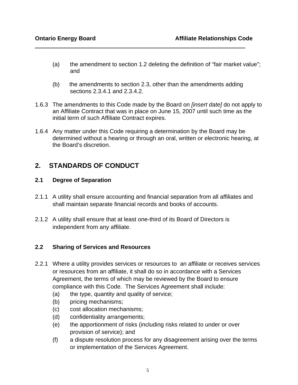- <span id="page-6-0"></span>(a) the amendment to section 1.2 deleting the definition of "fair market value"; and
- (b) the amendments to section 2.3, other than the amendments adding sections 2.3.4.1 and 2.3.4.2.
- 1.6.3 The amendments to this Code made by the Board on *[insert date]* do not apply to an Affiliate Contract that was in place on June 15, 2007 until such time as the initial term of such Affiliate Contract expires.
- 1.6.4 Any matter under this Code requiring a determination by the Board may be determined without a hearing or through an oral, written or electronic hearing, at the Board's discretion.

# **2. STANDARDS OF CONDUCT**

#### **2.1 Degree of Separation**

- 2.1.1 A utility shall ensure accounting and financial separation from all affiliates and shall maintain separate financial records and books of accounts.
- 2.1.2 A utility shall ensure that at least one-third of its Board of Directors is independent from any affiliate.

#### **2.2 Sharing of Services and Resources**

- 2.2.1 Where a utility provides services or resources to an affiliate or receives services or resources from an affiliate, it shall do so in accordance with a Services Agreement, the terms of which may be reviewed by the Board to ensure compliance with this Code. The Services Agreement shall include:
	- (a) the type, quantity and quality of service;
	- (b) pricing mechanisms;
	- (c) cost allocation mechanisms;
	- (d) confidentiality arrangements;
	- (e) the apportionment of risks (including risks related to under or over provision of service); and
	- (f) a dispute resolution process for any disagreement arising over the terms or implementation of the Services Agreement.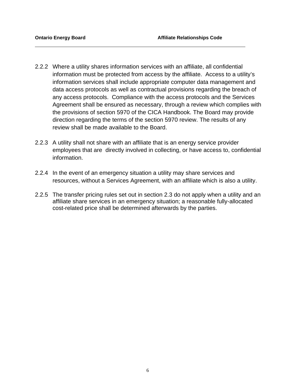- 2.2.2 Where a utility shares information services with an affiliate, all confidential information must be protected from access by the affiliate. Access to a utility's information services shall include appropriate computer data management and data access protocols as well as contractual provisions regarding the breach of any access protocols. Compliance with the access protocols and the Services Agreement shall be ensured as necessary, through a review which complies with the provisions of section 5970 of the CICA Handbook. The Board may provide direction regarding the terms of the section 5970 review. The results of any review shall be made available to the Board.
- 2.2.3 A utility shall not share with an affiliate that is an energy service provider employees that are directly involved in collecting, or have access to, confidential information.
- 2.2.4 In the event of an emergency situation a utility may share services and resources, without a Services Agreement, with an affiliate which is also a utility.
- 2.2.5 The transfer pricing rules set out in section 2.3 do not apply when a utility and an affiliate share services in an emergency situation; a reasonable fully-allocated cost-related price shall be determined afterwards by the parties.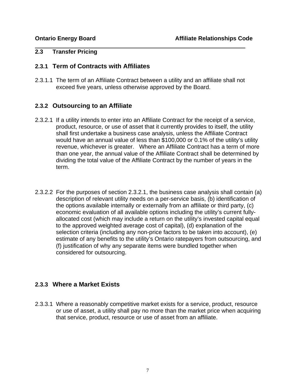#### <span id="page-8-0"></span>**2.3 Transfer Pricing**

#### **2.3.1 Term of Contracts with Affiliates**

2.3.1.1 The term of an Affiliate Contract between a utility and an affiliate shall not exceed five years, unless otherwise approved by the Board.

#### **2.3.2 Outsourcing to an Affiliate**

- 2.3.2.1 If a utility intends to enter into an Affiliate Contract for the receipt of a service, product, resource, or use of asset that it currently provides to itself, the utility shall first undertake a business case analysis, unless the Affiliate Contract would have an annual value of less than \$100,000 or 0.1% of the utility's utility revenue, whichever is greater. Where an Affiliate Contract has a term of more than one year, the annual value of the Affiliate Contract shall be determined by dividing the total value of the Affiliate Contract by the number of years in the term.
- 2.3.2.2 For the purposes of section 2.3.2.1, the business case analysis shall contain (a) description of relevant utility needs on a per-service basis, (b) identification of the options available internally or externally from an affiliate or third party, (c) economic evaluation of all available options including the utility's current fullyallocated cost (which may include a return on the utility's invested capital equal to the approved weighted average cost of capital), (d) explanation of the selection criteria (including any non-price factors to be taken into account), (e) estimate of any benefits to the utility's Ontario ratepayers from outsourcing, and (f) justification of why any separate items were bundled together when considered for outsourcing.

## **2.3.3 Where a Market Exists**

2.3.3.1 Where a reasonably competitive market exists for a service, product, resource or use of asset, a utility shall pay no more than the market price when acquiring that service, product, resource or use of asset from an affiliate.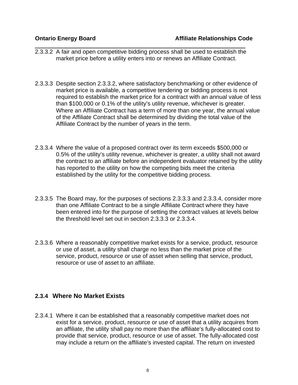- 2.3.3.2 A fair and open competitive bidding process shall be used to establish the market price before a utility enters into or renews an Affiliate Contract.
- 2.3.3.3 Despite section 2.3.3.2, where satisfactory benchmarking or other evidence of market price is available, a competitive tendering or bidding process is not required to establish the market price for a contract with an annual value of less than \$100,000 or 0.1% of the utility's utility revenue, whichever is greater. Where an Affiliate Contract has a term of more than one year, the annual value of the Affiliate Contract shall be determined by dividing the total value of the Affiliate Contract by the number of years in the term.
- 2.3.3.4 Where the value of a proposed contract over its term exceeds \$500,000 or 0.5% of the utility's utility revenue, whichever is greater, a utility shall not award the contract to an affiliate before an independent evaluator retained by the utility has reported to the utility on how the competing bids meet the criteria established by the utility for the competitive bidding process.
- 2.3.3.5 The Board may, for the purposes of sections 2.3.3.3 and 2.3.3.4, consider more than one Affiliate Contract to be a single Affiliate Contract where they have been entered into for the purpose of setting the contract values at levels below the threshold level set out in section 2.3.3.3 or 2.3.3.4.
- 2.3.3.6 Where a reasonably competitive market exists for a service, product, resource or use of asset, a utility shall charge no less than the market price of the service, product, resource or use of asset when selling that service, product, resource or use of asset to an affiliate.

#### **2.3.4 Where No Market Exists**

2.3.4.1 Where it can be established that a reasonably competitive market does not exist for a service, product, resource or use of asset that a utility acquires from an affiliate, the utility shall pay no more than the affiliate's fully-allocated cost to provide that service, product, resource or use of asset. The fully-allocated cost may include a return on the affiliate's invested capital. The return on invested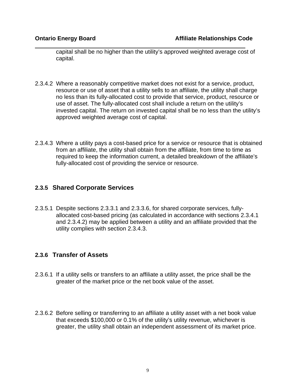capital shall be no higher than the utility's approved weighted average cost of capital.

- 2.3.4.2 Where a reasonably competitive market does not exist for a service, product, resource or use of asset that a utility sells to an affiliate, the utility shall charge no less than its fully-allocated cost to provide that service, product, resource or use of asset. The fully-allocated cost shall include a return on the utility's invested capital. The return on invested capital shall be no less than the utility's approved weighted average cost of capital.
- 2.3.4.3 Where a utility pays a cost-based price for a service or resource that is obtained from an affiliate, the utility shall obtain from the affiliate, from time to time as required to keep the information current, a detailed breakdown of the affiliate's fully-allocated cost of providing the service or resource.

### **2.3.5 Shared Corporate Services**

2.3.5.1 Despite sections 2.3.3.1 and 2.3.3.6, for shared corporate services, fullyallocated cost-based pricing (as calculated in accordance with sections 2.3.4.1 and 2.3.4.2) may be applied between a utility and an affiliate provided that the utility complies with section 2.3.4.3.

## **2.3.6 Transfer of Assets**

- 2.3.6.1 If a utility sells or transfers to an affiliate a utility asset, the price shall be the greater of the market price or the net book value of the asset.
- 2.3.6.2 Before selling or transferring to an affiliate a utility asset with a net book value that exceeds \$100,000 or 0.1% of the utility's utility revenue, whichever is greater, the utility shall obtain an independent assessment of its market price.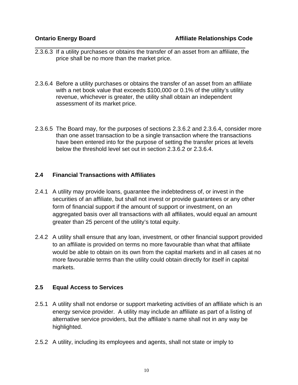- <span id="page-11-0"></span> $\overline{a}$ 2.3.6.3 If a utility purchases or obtains the transfer of an asset from an affiliate, the price shall be no more than the market price.
- 2.3.6.4 Before a utility purchases or obtains the transfer of an asset from an affiliate with a net book value that exceeds \$100,000 or 0.1% of the utility's utility revenue, whichever is greater, the utility shall obtain an independent assessment of its market price.
- 2.3.6.5 The Board may, for the purposes of sections 2.3.6.2 and 2.3.6.4, consider more than one asset transaction to be a single transaction where the transactions have been entered into for the purpose of setting the transfer prices at levels below the threshold level set out in section 2.3.6.2 or 2.3.6.4.

#### **2.4 Financial Transactions with Affiliates**

- 2.4.1 A utility may provide loans, guarantee the indebtedness of, or invest in the securities of an affiliate, but shall not invest or provide guarantees or any other form of financial support if the amount of support or investment, on an aggregated basis over all transactions with all affiliates, would equal an amount greater than 25 percent of the utility's total equity.
- 2.4.2 A utility shall ensure that any loan, investment, or other financial support provided to an affiliate is provided on terms no more favourable than what that affiliate would be able to obtain on its own from the capital markets and in all cases at no more favourable terms than the utility could obtain directly for itself in capital markets.

#### **2.5 Equal Access to Services**

- 2.5.1 A utility shall not endorse or support marketing activities of an affiliate which is an energy service provider. A utility may include an affiliate as part of a listing of alternative service providers, but the affiliate's name shall not in any way be highlighted.
- 2.5.2 A utility, including its employees and agents, shall not state or imply to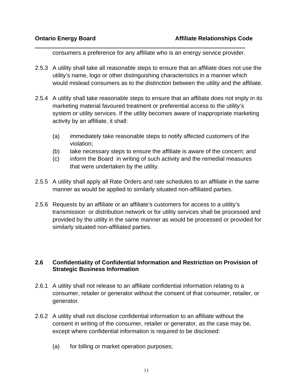<span id="page-12-0"></span>consumers a preference for any affiliate who is an energy service provider.

- 2.5.3 A utility shall take all reasonable steps to ensure that an affiliate does not use the utility's name, logo or other distinguishing characteristics in a manner which would mislead consumers as to the distinction between the utility and the affiliate.
- 2.5.4 A utility shall take reasonable steps to ensure that an affiliate does not imply in its marketing material favoured treatment or preferential access to the utility's system or utility services*.* If the utility becomes aware of inappropriate marketing activity by an affiliate, it shall:
	- (a) immediately take reasonable steps to notify affected customers of the violation;
	- (b) take necessary steps to ensure the affiliate is aware of the concern; and
	- (c) inform the Board in writing of such activity and the remedial measures that were undertaken by the utility.
- 2.5.5 A utility shall apply all Rate Orders and rate schedules to an affiliate in the same manner as would be applied to similarly situated non-affiliated parties.
- 2.5.6 Requests by an affiliate or an affiliate's customers for access to a utility's transmission or distribution network or for utility services shall be processed and provided by the utility in the same manner as would be processed or provided for similarly situated non-affiliated parties.

#### **2.6 Confidentiality of Confidential Information and Restriction on Provision of Strategic Business Information**

- 2.6.1 A utility shall not release to an affiliate confidential information relating to a consumer, retailer or generator without the consent of that consumer, retailer, or generator.
- 2.6.2 A utility shall not disclose confidential information to an affiliate without the consent in writing of the consumer, retailer or generator, as the case may be, except where confidential information is required to be disclosed:
	- (a) for billing or market operation purposes;